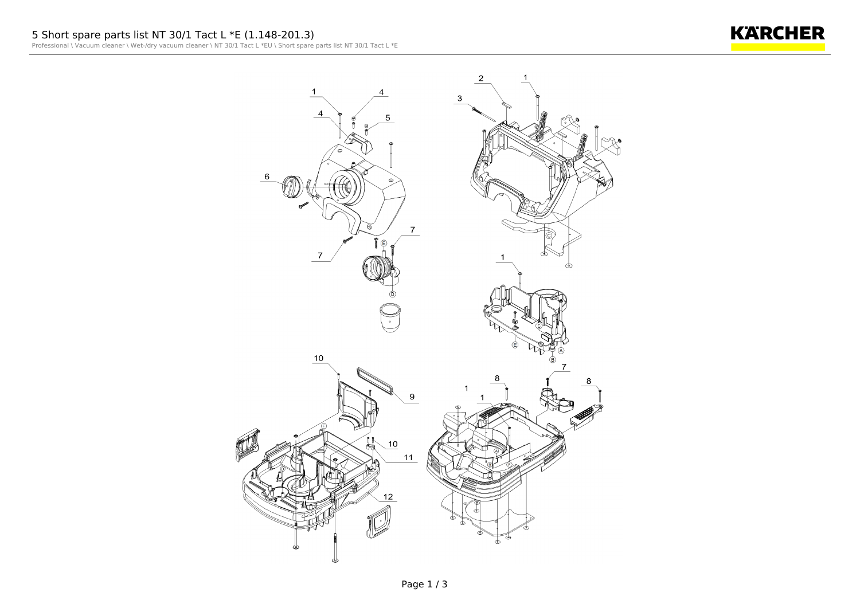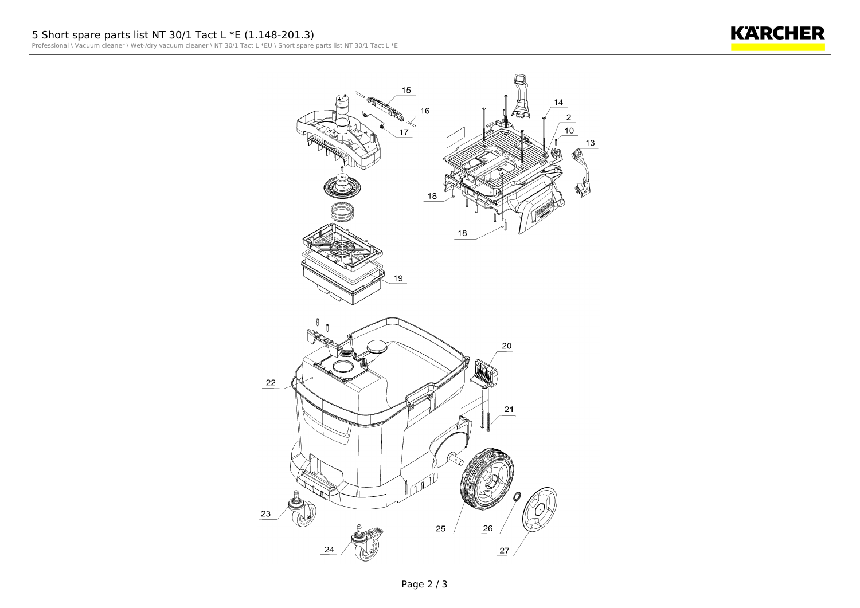**KARCHER**